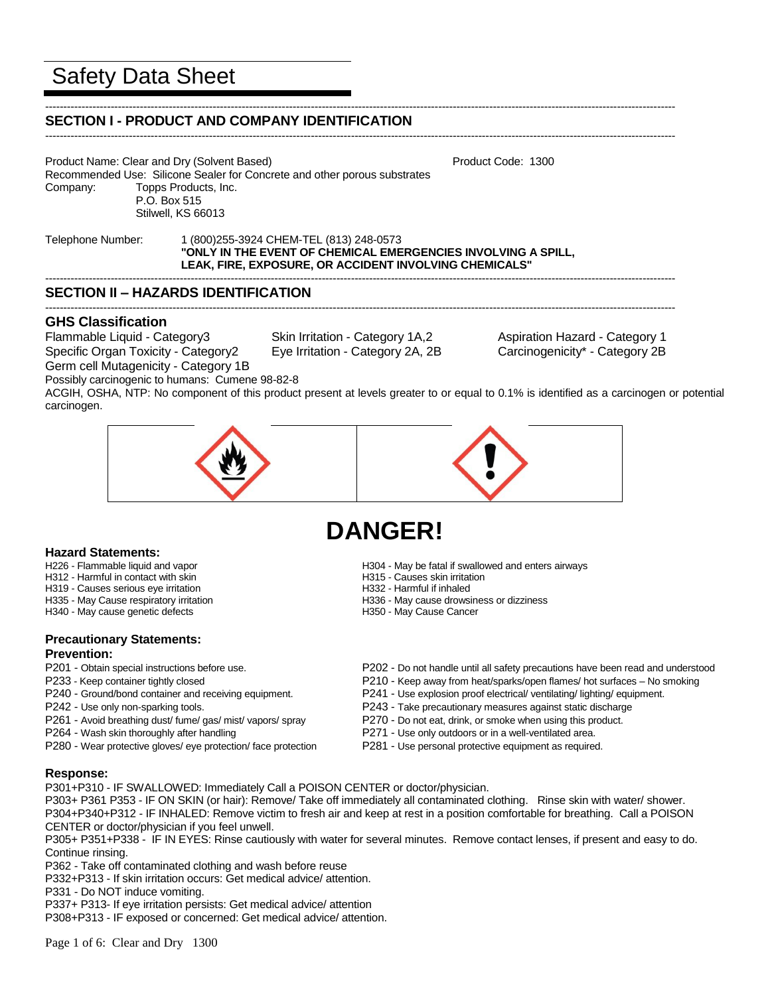# Safety Data Sheet

#### ----------------------------------------------------------------------------------------------------------------------------------------------------------------------------- **SECTION I - PRODUCT AND COMPANY IDENTIFICATION**

Product Name: Clear and Dry (Solvent Based) Notifiant Controllery And The Product Code: 1300 Recommended Use: Silicone Sealer for Concrete and other porous substrates Company: Topps Products, Inc. P.O. Box 515 Stilwell, KS 66013

Telephone Number: 1 (800)255-3924 CHEM-TEL (813) 248-0573 **"ONLY IN THE EVENT OF CHEMICAL EMERGENCIES INVOLVING A SPILL, LEAK, FIRE, EXPOSURE, OR ACCIDENT INVOLVING CHEMICALS"**

# **SECTION II – HAZARDS IDENTIFICATION**

# **GHS Classification**

Flammable Liquid - Category3 Skin Irritation - Category 1A,2 Aspiration Hazard - Category 1

Germ cell Mutagenicity - Category 1B

Specific Organ Toxicity - Category2 Eye Irritation - Category 2A, 2B Carcinogenicity\* - Category 2B

-----------------------------------------------------------------------------------------------------------------------------------------------------------------------------

-----------------------------------------------------------------------------------------------------------------------------------------------------------------------------

-----------------------------------------------------------------------------------------------------------------------------------------------------------------------------

Possibly carcinogenic to humans: Cumene 98-82-8 ACGIH, OSHA, NTP: No component of this product present at levels greater to or equal to 0.1% is identified as a carcinogen or potential carcinogen.



# **DANGER!**

- **Hazard Statements:**
- H312 Harmful in contact with skin
- H319 Causes serious eye irritation<br>
H335 May Cause respiratory irritation<br>
H336 May Cause drowsi
- 
- H340 May cause genetic defects Historic H350 May Cause Cancer

## **Precautionary Statements: Prevention:**

- 
- 
- 
- 
- 
- 
- P280 Wear protective gloves/ eye protection/ face protection P281 Use personal protective equipment as required.
- H304 May be fatal if swallowed and enters airways<br>H315 Causes skin irritation
- 
- 
- H336 May cause drowsiness or dizziness
- 
- P201 Obtain special instructions before use.<br>P202 Do not handle until all safety precautions have been read and understood<br>P210 Keep away from heat/sparks/open flames/ hot surfaces No smoking
	- P210 Keep away from heat/sparks/open flames/ hot surfaces No smoking
- P240 Ground/bond container and receiving equipment. P241 Use explosion proof electrical/ ventilating/ lighting/ equipment.
- P242 Use only non-sparking tools. P243 Take precautionary measures against static discharge
- P261 Avoid breathing dust/ fume/ gas/ mist/ vapors/ spray P270 Do not eat, drink, or smoke when using this product.
- P264 Wash skin thoroughly after handling example are paramonic P271 Use only outdoors or in a well-ventilated area.
	-

# **Response:**

P301+P310 - IF SWALLOWED: Immediately Call a POISON CENTER or doctor/physician.

P303+ P361 P353 - IF ON SKIN (or hair): Remove/ Take off immediately all contaminated clothing. Rinse skin with water/ shower. P304+P340+P312 - IF INHALED: Remove victim to fresh air and keep at rest in a position comfortable for breathing. Call a POISON CENTER or doctor/physician if you feel unwell.

P305+ P351+P338 - IF IN EYES: Rinse cautiously with water for several minutes. Remove contact lenses, if present and easy to do. Continue rinsing.

P362 - Take off contaminated clothing and wash before reuse

P332+P313 - If skin irritation occurs: Get medical advice/ attention.

P331 - Do NOT induce vomiting.

P337+ P313- If eye irritation persists: Get medical advice/ attention

P308+P313 - IF exposed or concerned: Get medical advice/ attention.

Page 1 of 6: Clear and Dry 1300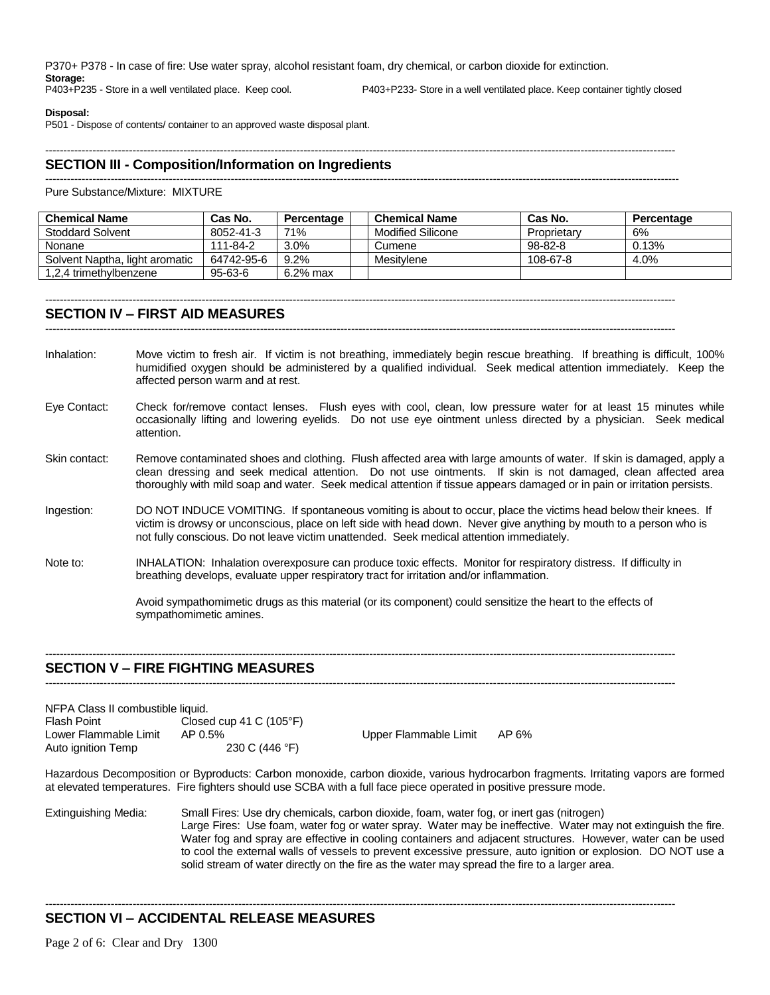P370+ P378 - In case of fire: Use water spray, alcohol resistant foam, dry chemical, or carbon dioxide for extinction.

**Storage:**<br>P403+P235 - Store in a well ventilated place. Keep cool.

P403+P233- Store in a well ventilated place. Keep container tightly closed

#### **Disposal:**

P501 - Dispose of contents/ container to an approved waste disposal plant.

### ----------------------------------------------------------------------------------------------------------------------------------------------------------------------------- **SECTION III - Composition/Information on Ingredients**

------------------------------------------------------------------------------------------------------------------------------------------------------------------------------

Pure Substance/Mixture: MIXTURE

| <b>Chemical Name</b>           | Cas No.    | Percentage | <b>Chemical Name</b>     | Cas No.       | Percentage |
|--------------------------------|------------|------------|--------------------------|---------------|------------|
| <b>Stoddard Solvent</b>        | 8052-41-3  | 71%        | <b>Modified Silicone</b> | Proprietary   | 6%         |
| Nonane                         | 111-84-2   | 3.0%       | Cumene                   | $98 - 82 - 8$ | 0.13%      |
| Solvent Naptha, light aromatic | 64742-95-6 | 9.2%       | Mesitylene               | 108-67-8      | 4.0%       |
| 1,2,4 trimethylbenzene         | 95-63-6    | 6.2% max   |                          |               |            |

#### ----------------------------------------------------------------------------------------------------------------------------------------------------------------------------- **SECTION IV – FIRST AID MEASURES**

-----------------------------------------------------------------------------------------------------------------------------------------------------------------------------

- Inhalation: Move victim to fresh air. If victim is not breathing, immediately begin rescue breathing. If breathing is difficult, 100% humidified oxygen should be administered by a qualified individual. Seek medical attention immediately. Keep the affected person warm and at rest.
- Eye Contact: Check for/remove contact lenses. Flush eyes with cool, clean, low pressure water for at least 15 minutes while occasionally lifting and lowering eyelids. Do not use eye ointment unless directed by a physician. Seek medical attention.
- Skin contact: Remove contaminated shoes and clothing. Flush affected area with large amounts of water. If skin is damaged, apply a clean dressing and seek medical attention. Do not use ointments. If skin is not damaged, clean affected area thoroughly with mild soap and water. Seek medical attention if tissue appears damaged or in pain or irritation persists.
- Ingestion: DO NOT INDUCE VOMITING. If spontaneous vomiting is about to occur, place the victims head below their knees. If victim is drowsy or unconscious, place on left side with head down. Never give anything by mouth to a person who is not fully conscious. Do not leave victim unattended. Seek medical attention immediately.
- Note to: INHALATION: Inhalation overexposure can produce toxic effects. Monitor for respiratory distress. If difficulty in breathing develops, evaluate upper respiratory tract for irritation and/or inflammation.

Avoid sympathomimetic drugs as this material (or its component) could sensitize the heart to the effects of sympathomimetic amines.

### ----------------------------------------------------------------------------------------------------------------------------------------------------------------------------- **SECTION V – FIRE FIGHTING MEASURES**

-----------------------------------------------------------------------------------------------------------------------------------------------------------------------------

| Flash Point           | Closed cup 41 C $(105^{\circ}F)$ |                       |       |
|-----------------------|----------------------------------|-----------------------|-------|
| Lower Flammable Limit | AP 0.5%                          | Upper Flammable Limit | AP 6% |
| Auto ignition Temp    | 230 C (446 °F)                   |                       |       |

Hazardous Decomposition or Byproducts: Carbon monoxide, carbon dioxide, various hydrocarbon fragments. Irritating vapors are formed at elevated temperatures. Fire fighters should use SCBA with a full face piece operated in positive pressure mode.

Extinguishing Media: Small Fires: Use dry chemicals, carbon dioxide, foam, water fog, or inert gas (nitrogen) Large Fires: Use foam, water fog or water spray. Water may be ineffective. Water may not extinguish the fire. Water fog and spray are effective in cooling containers and adjacent structures. However, water can be used to cool the external walls of vessels to prevent excessive pressure, auto ignition or explosion. DO NOT use a solid stream of water directly on the fire as the water may spread the fire to a larger area.

-----------------------------------------------------------------------------------------------------------------------------------------------------------------------------

# **SECTION VI – ACCIDENTAL RELEASE MEASURES**

Page 2 of 6: Clear and Dry 1300

NFPA Class II combustible liquid.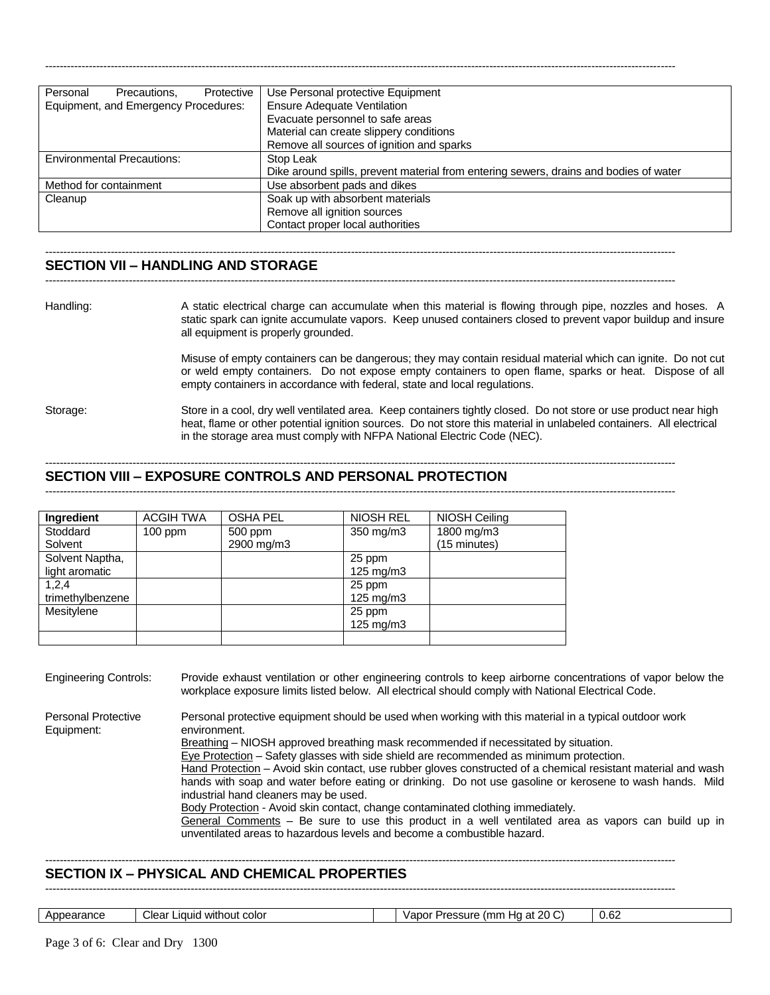| Personal<br>Precautions,<br>Protective | Use Personal protective Equipment                                                     |
|----------------------------------------|---------------------------------------------------------------------------------------|
| Equipment, and Emergency Procedures:   | <b>Ensure Adequate Ventilation</b>                                                    |
|                                        | Evacuate personnel to safe areas                                                      |
|                                        | Material can create slippery conditions                                               |
|                                        | Remove all sources of ignition and sparks                                             |
| <b>Environmental Precautions:</b>      | Stop Leak                                                                             |
|                                        | Dike around spills, prevent material from entering sewers, drains and bodies of water |
| Method for containment                 | Use absorbent pads and dikes                                                          |
| Cleanup                                | Soak up with absorbent materials                                                      |
|                                        | Remove all ignition sources                                                           |
|                                        | Contact proper local authorities                                                      |

-----------------------------------------------------------------------------------------------------------------------------------------------------------------------------

#### ----------------------------------------------------------------------------------------------------------------------------------------------------------------------------- **SECTION VII – HANDLING AND STORAGE**

-----------------------------------------------------------------------------------------------------------------------------------------------------------------------------

Handling: A static electrical charge can accumulate when this material is flowing through pipe, nozzles and hoses. A static spark can ignite accumulate vapors. Keep unused containers closed to prevent vapor buildup and insure all equipment is properly grounded.

> Misuse of empty containers can be dangerous; they may contain residual material which can ignite. Do not cut or weld empty containers. Do not expose empty containers to open flame, sparks or heat. Dispose of all empty containers in accordance with federal, state and local regulations.

Storage: Store in a cool, dry well ventilated area. Keep containers tightly closed. Do not store or use product near high heat, flame or other potential ignition sources. Do not store this material in unlabeled containers. All electrical in the storage area must comply with NFPA National Electric Code (NEC).

# **SECTION VIII – EXPOSURE CONTROLS AND PERSONAL PROTECTION**

-----------------------------------------------------------------------------------------------------------------------------------------------------------------------------

-----------------------------------------------------------------------------------------------------------------------------------------------------------------------------

| <b>Ingredient</b> | <b>ACGIH TWA</b> | <b>OSHA PEL</b> | <b>NIOSH REL</b>   | NIOSH Ceiling |
|-------------------|------------------|-----------------|--------------------|---------------|
| Stoddard          | $100$ ppm        | 500 ppm         | 350 mg/m3          | 1800 mg/m3    |
| Solvent           |                  | 2900 mg/m3      |                    | (15 minutes)  |
| Solvent Naptha,   |                  |                 | 25 ppm             |               |
| light aromatic    |                  |                 | $125 \text{ mg/m}$ |               |
| 1,2,4             |                  |                 | 25 ppm             |               |
| trimethylbenzene  |                  |                 | $125 \text{ mg/m}$ |               |
| Mesitylene        |                  |                 | 25 ppm             |               |
|                   |                  |                 | $125 \text{ mg/m}$ |               |
|                   |                  |                 |                    |               |

Engineering Controls: Provide exhaust ventilation or other engineering controls to keep airborne concentrations of vapor below the workplace exposure limits listed below. All electrical should comply with National Electrical Code. Personal Protective Personal protective equipment should be used when working with this material in a typical outdoor work Equipment: environment.

Breathing – NIOSH approved breathing mask recommended if necessitated by situation.

Eye Protection – Safety glasses with side shield are recommended as minimum protection.

Hand Protection – Avoid skin contact, use rubber gloves constructed of a chemical resistant material and wash hands with soap and water before eating or drinking. Do not use gasoline or kerosene to wash hands. Mild industrial hand cleaners may be used.

Body Protection - Avoid skin contact, change contaminated clothing immediately. General Comments – Be sure to use this product in a well ventilated area as vapors can build up in

unventilated areas to hazardous levels and become a combustible hazard.

## **SECTION IX – PHYSICAL AND CHEMICAL PROPERTIES**

-----------------------------------------------------------------------------------------------------------------------------------------------------------------------------

-----------------------------------------------------------------------------------------------------------------------------------------------------------------------------

| Appearance | Clear<br>without color<br>∴∟iauid <sup>√</sup> |  | e (mm Ha at 20 C)<br>0.62<br>: Pressure<br>Vapor |  |
|------------|------------------------------------------------|--|--------------------------------------------------|--|
|------------|------------------------------------------------|--|--------------------------------------------------|--|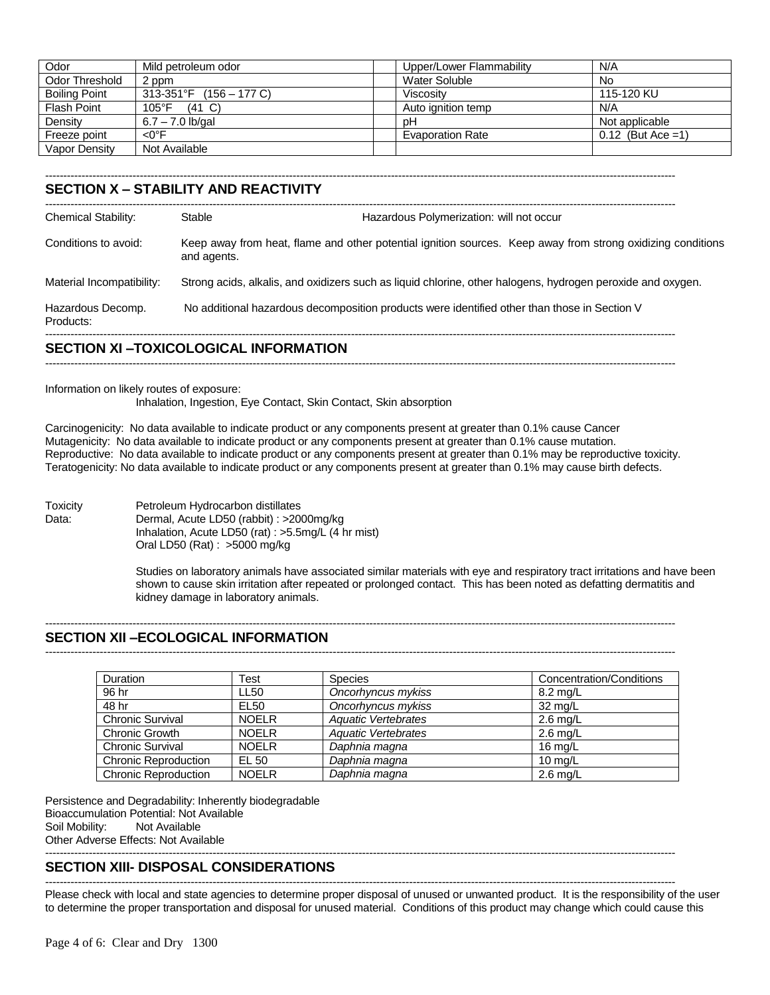| Odor                 | Mild petroleum odor        | Upper/Lower Flammability | N/A                  |
|----------------------|----------------------------|--------------------------|----------------------|
| Odor Threshold       | 2 ppm                      | Water Soluble            | <b>No</b>            |
| <b>Boiling Point</b> | $313-351$ °F (156 – 177 C) | Viscositv                | 115-120 KU           |
| <b>Flash Point</b>   | $105^{\circ}$ F<br>(41 C)  | Auto ignition temp       | N/A                  |
| Density              | $6.7 - 7.0$ lb/gal         | рH                       | Not applicable       |
| Freeze point         | <0°F                       | <b>Evaporation Rate</b>  | $0.12$ (But Ace = 1) |
| Vapor Density        | Not Available              |                          |                      |

-----------------------------------------------------------------------------------------------------------------------------------------------------------------------------

# **SECTION X – STABILITY AND REACTIVITY**

| Hazardous Polymerization: will not occur                                                                    |
|-------------------------------------------------------------------------------------------------------------|
| Keep away from heat, flame and other potential ignition sources. Keep away from strong oxidizing conditions |
| Strong acids, alkalis, and oxidizers such as liquid chlorine, other halogens, hydrogen peroxide and oxygen. |
| No additional hazardous decomposition products were identified other than those in Section V                |
|                                                                                                             |

#### **SECTION XI –TOXICOLOGICAL INFORMATION**

-----------------------------------------------------------------------------------------------------------------------------------------------------------------------------

Information on likely routes of exposure:

Inhalation, Ingestion, Eye Contact, Skin Contact, Skin absorption

Carcinogenicity: No data available to indicate product or any components present at greater than 0.1% cause Cancer Mutagenicity: No data available to indicate product or any components present at greater than 0.1% cause mutation. Reproductive: No data available to indicate product or any components present at greater than 0.1% may be reproductive toxicity. Teratogenicity: No data available to indicate product or any components present at greater than 0.1% may cause birth defects.

Toxicity Petroleum Hydrocarbon distillates Data: Dermal, Acute LD50 (rabbit) : >2000mg/kg Inhalation, Acute LD50 (rat) : >5.5mg/L (4 hr mist) Oral LD50 (Rat) : >5000 mg/kg

> Studies on laboratory animals have associated similar materials with eye and respiratory tract irritations and have been shown to cause skin irritation after repeated or prolonged contact. This has been noted as defatting dermatitis and kidney damage in laboratory animals.

> > -----------------------------------------------------------------------------------------------------------------------------------------------------------------------------

# **SECTION XII –ECOLOGICAL INFORMATION**

-----------------------------------------------------------------------------------------------------------------------------------------------------------------------------

| <b>Duration</b>             | Test         | <b>Species</b>             | Concentration/Conditions |
|-----------------------------|--------------|----------------------------|--------------------------|
| 96 hr                       | <b>LL50</b>  | Oncorhyncus mykiss         | $8.2 \text{ rad/L}$      |
| 48 hr                       | EL50         | Oncorhyncus mykiss         | $32 \text{ mg/L}$        |
| <b>Chronic Survival</b>     | <b>NOELR</b> | <b>Aquatic Vertebrates</b> | $2.6 \text{ mg/L}$       |
| Chronic Growth              | <b>NOELR</b> | Aquatic Vertebrates        | $2.6 \text{ mg/L}$       |
| <b>Chronic Survival</b>     | <b>NOELR</b> | Daphnia magna              | 16 $mq/L$                |
| <b>Chronic Reproduction</b> | EL 50        | Daphnia magna              | $10 \text{ rad/L}$       |
| <b>Chronic Reproduction</b> | <b>NOELR</b> | Daphnia magna              | $2.6 \text{ mg/L}$       |

Persistence and Degradability: Inherently biodegradable Bioaccumulation Potential: Not Available Soil Mobility: Not Available Other Adverse Effects: Not Available -----------------------------------------------------------------------------------------------------------------------------------------------------------------------------

#### **SECTION XIII- DISPOSAL CONSIDERATIONS** -----------------------------------------------------------------------------------------------------------------------------------------------------------------------------

Please check with local and state agencies to determine proper disposal of unused or unwanted product. It is the responsibility of the user to determine the proper transportation and disposal for unused material. Conditions of this product may change which could cause this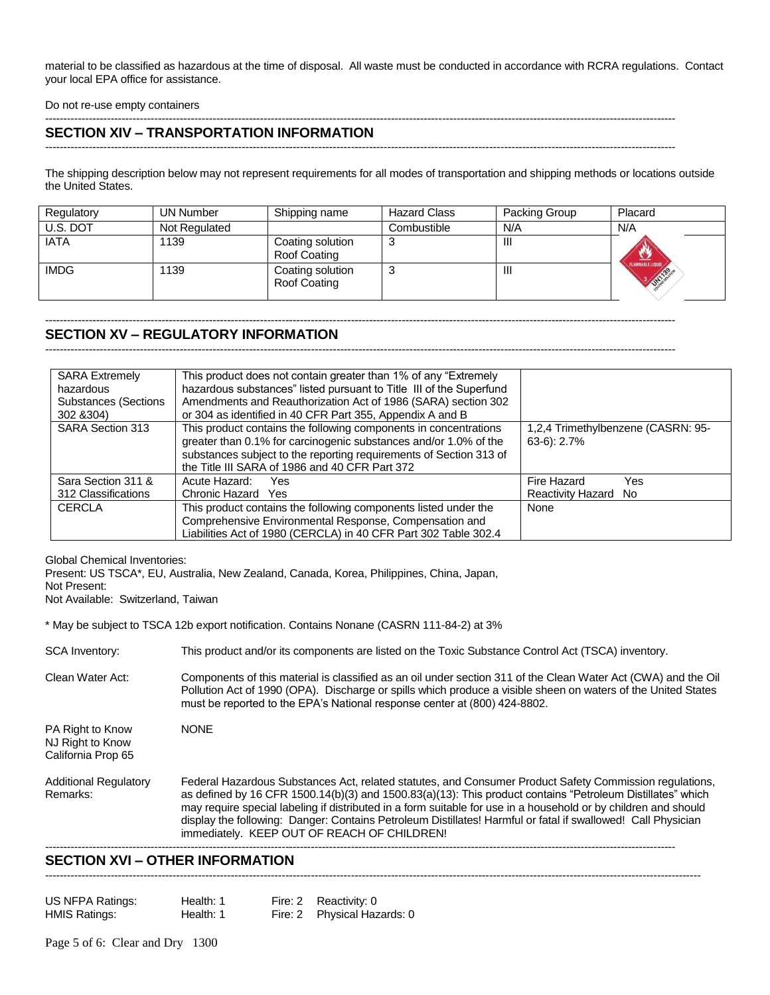material to be classified as hazardous at the time of disposal. All waste must be conducted in accordance with RCRA regulations. Contact your local EPA office for assistance.

Do not re-use empty containers

#### ----------------------------------------------------------------------------------------------------------------------------------------------------------------------------- **SECTION XIV – TRANSPORTATION INFORMATION**

-----------------------------------------------------------------------------------------------------------------------------------------------------------------------------

The shipping description below may not represent requirements for all modes of transportation and shipping methods or locations outside the United States.

| Regulatory  | UN Number     | Shipping name                    | <b>Hazard Class</b> | Packing Group  | Placard                                    |
|-------------|---------------|----------------------------------|---------------------|----------------|--------------------------------------------|
| U.S. DOT    | Not Regulated |                                  | Combustible         | N/A            | N/A                                        |
| <b>IATA</b> | 1139          | Coating solution<br>Roof Coating | 3                   | Ш              |                                            |
| <b>IMDG</b> | 1139          | Coating solution<br>Roof Coating | 3                   | $\mathbf{III}$ | <b>EXTRAMMABLE LIQUID</b><br><b>RIVERS</b> |

-----------------------------------------------------------------------------------------------------------------------------------------------------------------------------

-----------------------------------------------------------------------------------------------------------------------------------------------------------------------------

# **SECTION XV – REGULATORY INFORMATION**

| <b>SARA Extremely</b>       | This product does not contain greater than 1% of any "Extremely     |                                    |
|-----------------------------|---------------------------------------------------------------------|------------------------------------|
| hazardous                   | hazardous substances" listed pursuant to Title III of the Superfund |                                    |
| <b>Substances (Sections</b> | Amendments and Reauthorization Act of 1986 (SARA) section 302       |                                    |
| 302 & 304)                  | or 304 as identified in 40 CFR Part 355, Appendix A and B           |                                    |
| <b>SARA Section 313</b>     | This product contains the following components in concentrations    | 1,2,4 Trimethylbenzene (CASRN: 95- |
|                             | greater than 0.1% for carcinogenic substances and/or 1.0% of the    | $63-6$ : 2.7%                      |
|                             | substances subject to the reporting requirements of Section 313 of  |                                    |
|                             | the Title III SARA of 1986 and 40 CFR Part 372                      |                                    |
| Sara Section 311 &          | Acute Hazard:<br>Yes.                                               | Fire Hazard<br>Yes                 |
| 312 Classifications         | Chronic Hazard Yes                                                  | <b>Reactivity Hazard</b><br>No     |
| <b>CERCLA</b>               | This product contains the following components listed under the     | None                               |
|                             | Comprehensive Environmental Response, Compensation and              |                                    |
|                             | Liabilities Act of 1980 (CERCLA) in 40 CFR Part 302 Table 302.4     |                                    |

Global Chemical Inventories:

Present: US TSCA\*, EU, Australia, New Zealand, Canada, Korea, Philippines, China, Japan,

Not Present:

Not Available: Switzerland, Taiwan

\* May be subject to TSCA 12b export notification. Contains Nonane (CASRN 111-84-2) at 3%

SCA Inventory: This product and/or its components are listed on the Toxic Substance Control Act (TSCA) inventory.

Clean Water Act: Components of this material is classified as an oil under section 311 of the Clean Water Act (CWA) and the Oil Pollution Act of 1990 (OPA). Discharge or spills which produce a visible sheen on waters of the United States must be reported to the EPA's National response center at (800) 424-8802.

PA Right to Know NONE NJ Right to Know California Prop 65

Additional Regulatory Federal Hazardous Substances Act, related statutes, and Consumer Product Safety Commission regulations, Remarks: as defined by 16 CFR 1500.14(b)(3) and 1500.83(a)(13): This product contains "Petroleum Distillates" which may require special labeling if distributed in a form suitable for use in a household or by children and should display the following: Danger: Contains Petroleum Distillates! Harmful or fatal if swallowed! Call Physician immediately. KEEP OUT OF REACH OF CHILDREN!

-----------------------------------------------------------------------------------------------------------------------------------------------------------------------------

------------------------------------------------------------------------------------------------------------------------------------------------------------------------------------

# **SECTION XVI – OTHER INFORMATION**

| US NFPA Ratings:     | Health: 1 | Fire: 2 Reactivity: 0       |
|----------------------|-----------|-----------------------------|
| <b>HMIS Ratings:</b> | Health: 1 | Fire: 2 Physical Hazards: 0 |